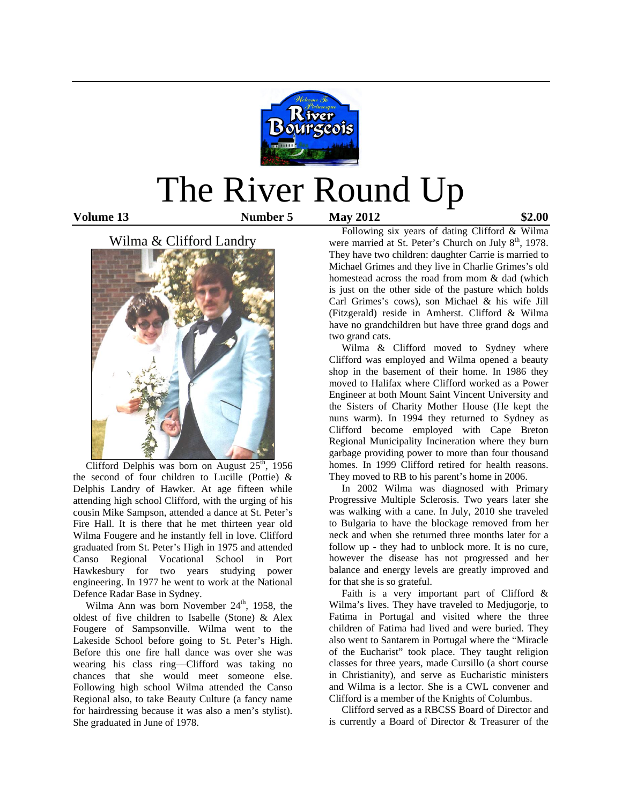

# The River Round Up

**Volume 13 Number 5 May 2012 \$2.00** 

# Wilma & Clifford Landry



Clifford Delphis was born on August  $25<sup>th</sup>$ , 1956 the second of four children to Lucille (Pottie) & Delphis Landry of Hawker. At age fifteen while attending high school Clifford, with the urging of his cousin Mike Sampson, attended a dance at St. Peter's Fire Hall. It is there that he met thirteen year old Wilma Fougere and he instantly fell in love. Clifford graduated from St. Peter's High in 1975 and attended Canso Regional Vocational School in Port Hawkesbury for two years studying power engineering. In 1977 he went to work at the National Defence Radar Base in Sydney.

Wilma Ann was born November  $24<sup>th</sup>$ , 1958, the oldest of five children to Isabelle (Stone) & Alex Fougere of Sampsonville. Wilma went to the Lakeside School before going to St. Peter's High. Before this one fire hall dance was over she was wearing his class ring—Clifford was taking no chances that she would meet someone else. Following high school Wilma attended the Canso Regional also, to take Beauty Culture (a fancy name for hairdressing because it was also a men's stylist). She graduated in June of 1978.

 Following six years of dating Clifford & Wilma were married at St. Peter's Church on July 8<sup>th</sup>, 1978. They have two children: daughter Carrie is married to Michael Grimes and they live in Charlie Grimes's old homestead across the road from mom & dad (which is just on the other side of the pasture which holds Carl Grimes's cows), son Michael & his wife Jill (Fitzgerald) reside in Amherst. Clifford & Wilma have no grandchildren but have three grand dogs and two grand cats.

Wilma & Clifford moved to Sydney where Clifford was employed and Wilma opened a beauty shop in the basement of their home. In 1986 they moved to Halifax where Clifford worked as a Power Engineer at both Mount Saint Vincent University and the Sisters of Charity Mother House (He kept the nuns warm). In 1994 they returned to Sydney as Clifford become employed with Cape Breton Regional Municipality Incineration where they burn garbage providing power to more than four thousand homes. In 1999 Clifford retired for health reasons. They moved to RB to his parent's home in 2006.

 In 2002 Wilma was diagnosed with Primary Progressive Multiple Sclerosis. Two years later she was walking with a cane. In July, 2010 she traveled to Bulgaria to have the blockage removed from her neck and when she returned three months later for a follow up - they had to unblock more. It is no cure, however the disease has not progressed and her balance and energy levels are greatly improved and for that she is so grateful.

 Faith is a very important part of Clifford & Wilma's lives. They have traveled to Medjugorje, to Fatima in Portugal and visited where the three children of Fatima had lived and were buried. They also went to Santarem in Portugal where the "Miracle of the Eucharist" took place. They taught religion classes for three years, made Cursillo (a short course in Christianity), and serve as Eucharistic ministers and Wilma is a lector. She is a CWL convener and Clifford is a member of the Knights of Columbus.

 Clifford served as a RBCSS Board of Director and is currently a Board of Director & Treasurer of the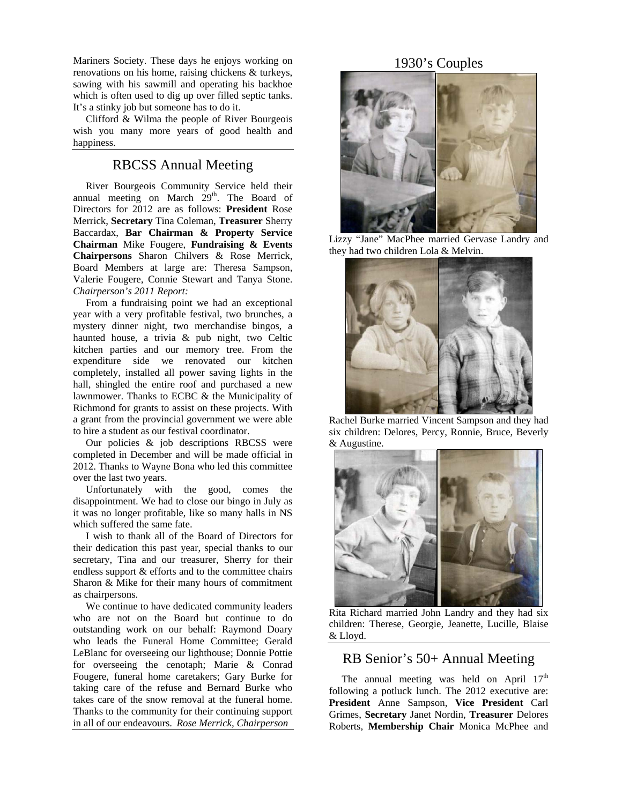Mariners Society. These days he enjoys working on renovations on his home, raising chickens & turkeys, sawing with his sawmill and operating his backhoe which is often used to dig up over filled septic tanks. It's a stinky job but someone has to do it.

 Clifford & Wilma the people of River Bourgeois wish you many more years of good health and happiness.

## RBCSS Annual Meeting

 River Bourgeois Community Service held their annual meeting on March  $29<sup>th</sup>$ . The Board of Directors for 2012 are as follows: **President** Rose Merrick, **Secretary** Tina Coleman, **Treasurer** Sherry Baccardax, **Bar Chairman & Property Service Chairman** Mike Fougere, **Fundraising & Events Chairpersons** Sharon Chilvers & Rose Merrick, Board Members at large are: Theresa Sampson, Valerie Fougere, Connie Stewart and Tanya Stone. *Chairperson's 2011 Report:*

 From a fundraising point we had an exceptional year with a very profitable festival, two brunches, a mystery dinner night, two merchandise bingos, a haunted house, a trivia & pub night, two Celtic kitchen parties and our memory tree. From the expenditure side we renovated our kitchen completely, installed all power saving lights in the hall, shingled the entire roof and purchased a new lawnmower. Thanks to ECBC & the Municipality of Richmond for grants to assist on these projects. With a grant from the provincial government we were able to hire a student as our festival coordinator.

 Our policies & job descriptions RBCSS were completed in December and will be made official in 2012. Thanks to Wayne Bona who led this committee over the last two years.

 Unfortunately with the good, comes the disappointment. We had to close our bingo in July as it was no longer profitable, like so many halls in NS which suffered the same fate.

 I wish to thank all of the Board of Directors for their dedication this past year, special thanks to our secretary, Tina and our treasurer, Sherry for their endless support & efforts and to the committee chairs Sharon & Mike for their many hours of commitment as chairpersons.

 We continue to have dedicated community leaders who are not on the Board but continue to do outstanding work on our behalf: Raymond Doary who leads the Funeral Home Committee; Gerald LeBlanc for overseeing our lighthouse; Donnie Pottie for overseeing the cenotaph; Marie & Conrad Fougere, funeral home caretakers; Gary Burke for taking care of the refuse and Bernard Burke who takes care of the snow removal at the funeral home. Thanks to the community for their continuing support in all of our endeavours. *Rose Merrick, Chairperson*

## 1930's Couples



Lizzy "Jane" MacPhee married Gervase Landry and they had two children Lola & Melvin.



Rachel Burke married Vincent Sampson and they had six children: Delores, Percy, Ronnie, Bruce, Beverly & Augustine.



Rita Richard married John Landry and they had six children: Therese, Georgie, Jeanette, Lucille, Blaise & Lloyd.

## RB Senior's 50+ Annual Meeting

The annual meeting was held on April  $17<sup>th</sup>$ following a potluck lunch. The 2012 executive are: **President** Anne Sampson, **Vice President** Carl Grimes, **Secretary** Janet Nordin, **Treasurer** Delores Roberts, **Membership Chair** Monica McPhee and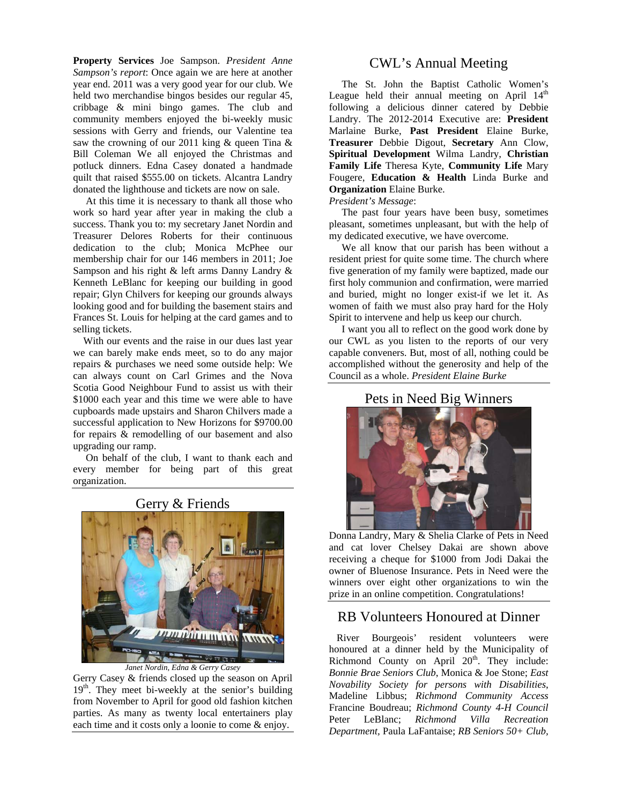**Property Services** Joe Sampson. *President Anne Sampson's report*: Once again we are here at another year end. 2011 was a very good year for our club. We held two merchandise bingos besides our regular 45, cribbage & mini bingo games. The club and community members enjoyed the bi-weekly music sessions with Gerry and friends, our Valentine tea saw the crowning of our 2011 king & queen Tina & Bill Coleman We all enjoyed the Christmas and potluck dinners. Edna Casey donated a handmade quilt that raised \$555.00 on tickets. Alcantra Landry donated the lighthouse and tickets are now on sale.

 At this time it is necessary to thank all those who work so hard year after year in making the club a success. Thank you to: my secretary Janet Nordin and Treasurer Delores Roberts for their continuous dedication to the club; Monica McPhee our membership chair for our 146 members in 2011; Joe Sampson and his right & left arms Danny Landry & Kenneth LeBlanc for keeping our building in good repair; Glyn Chilvers for keeping our grounds always looking good and for building the basement stairs and Frances St. Louis for helping at the card games and to selling tickets.

 With our events and the raise in our dues last year we can barely make ends meet, so to do any major repairs & purchases we need some outside help: We can always count on Carl Grimes and the Nova Scotia Good Neighbour Fund to assist us with their \$1000 each year and this time we were able to have cupboards made upstairs and Sharon Chilvers made a successful application to New Horizons for \$9700.00 for repairs & remodelling of our basement and also upgrading our ramp.

 On behalf of the club, I want to thank each and every member for being part of this great organization.



### Gerry & Friends

Gerry Casey & friends closed up the season on April  $19<sup>th</sup>$ . They meet bi-weekly at the senior's building from November to April for good old fashion kitchen parties. As many as twenty local entertainers play each time and it costs only a loonie to come & enjoy.

## CWL's Annual Meeting

 The St. John the Baptist Catholic Women's League held their annual meeting on April  $14<sup>th</sup>$ following a delicious dinner catered by Debbie Landry. The 2012-2014 Executive are: **President**  Marlaine Burke, **Past President** Elaine Burke, **Treasurer** Debbie Digout, **Secretary** Ann Clow, **Spiritual Development** Wilma Landry, **Christian Family Life** Theresa Kyte, **Community Life** Mary Fougere, **Education & Health** Linda Burke and **Organization** Elaine Burke.

#### *President's Message*:

 The past four years have been busy, sometimes pleasant, sometimes unpleasant, but with the help of my dedicated executive, we have overcome.

 We all know that our parish has been without a resident priest for quite some time. The church where five generation of my family were baptized, made our first holy communion and confirmation, were married and buried, might no longer exist-if we let it. As women of faith we must also pray hard for the Holy Spirit to intervene and help us keep our church.

 I want you all to reflect on the good work done by our CWL as you listen to the reports of our very capable conveners. But, most of all, nothing could be accomplished without the generosity and help of the Council as a whole. *President Elaine Burke* 

## Pets in Need Big Winners



Donna Landry, Mary & Shelia Clarke of Pets in Need and cat lover Chelsey Dakai are shown above receiving a cheque for \$1000 from Jodi Dakai the owner of Bluenose Insurance. Pets in Need were the winners over eight other organizations to win the prize in an online competition. Congratulations!

## RB Volunteers Honoured at Dinner

 River Bourgeois' resident volunteers were honoured at a dinner held by the Municipality of Richmond County on April  $20<sup>th</sup>$ . They include: *Bonnie Brae Seniors Club*, Monica & Joe Stone; *East Novability Society for persons with Disabilities*, Madeline Libbus; *Richmond Community Access* Francine Boudreau; *Richmond County 4-H Council* Peter LeBlanc; *Richmond Villa Recreation Department,* Paula LaFantaise; *RB Seniors 50+ Club,*